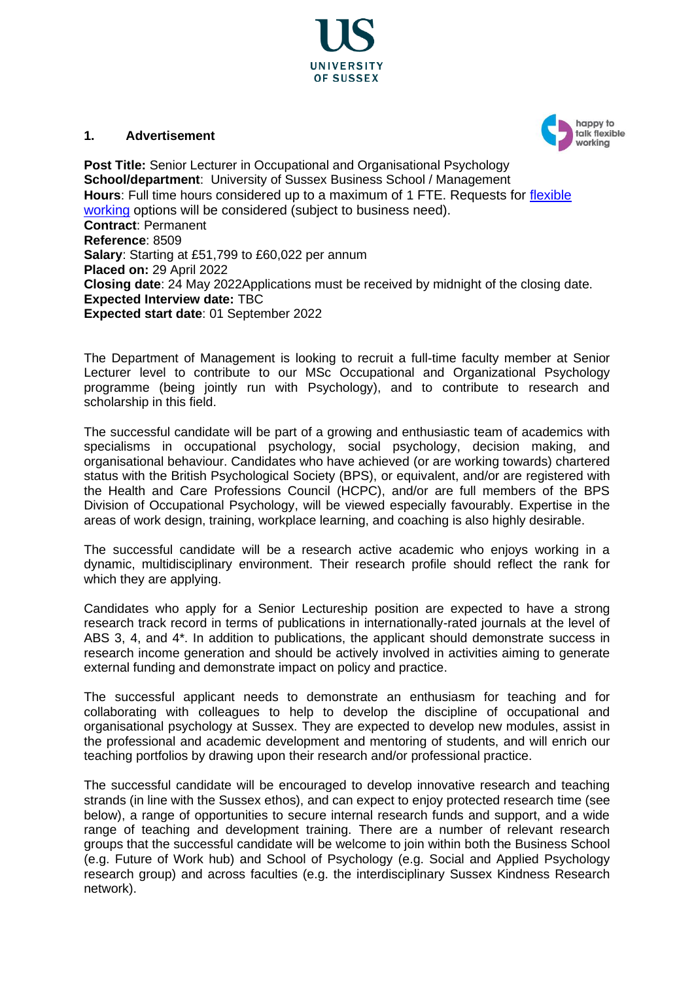

#### **1. Advertisement**



**Post Title:** Senior Lecturer in Occupational and Organisational Psychology **School/department**: University of Sussex Business School / Management **Hours**: Full time hours considered up to a maximum of 1 FTE. Requests for [flexible](http://www.sussex.ac.uk/humanresources/personnel/flexible-working)  [working](http://www.sussex.ac.uk/humanresources/personnel/flexible-working) options will be considered (subject to business need). **Contract**: Permanent **Reference**: 8509 **Salary**: Starting at £51,799 to £60,022 per annum **Placed on:** 29 April 2022 **Closing date**: 24 May 2022Applications must be received by midnight of the closing date. **Expected Interview date:** TBC **Expected start date**: 01 September 2022

The Department of Management is looking to recruit a full-time faculty member at Senior Lecturer level to contribute to our MSc Occupational and Organizational Psychology programme (being jointly run with Psychology), and to contribute to research and scholarship in this field.

The successful candidate will be part of a growing and enthusiastic team of academics with specialisms in occupational psychology, social psychology, decision making, and organisational behaviour. Candidates who have achieved (or are working towards) chartered status with the British Psychological Society (BPS), or equivalent, and/or are registered with the Health and Care Professions Council (HCPC), and/or are full members of the BPS Division of Occupational Psychology, will be viewed especially favourably. Expertise in the areas of work design, training, workplace learning, and coaching is also highly desirable.

The successful candidate will be a research active academic who enjoys working in a dynamic, multidisciplinary environment. Their research profile should reflect the rank for which they are applying.

Candidates who apply for a Senior Lectureship position are expected to have a strong research track record in terms of publications in internationally-rated journals at the level of ABS 3, 4, and 4\*. In addition to publications, the applicant should demonstrate success in research income generation and should be actively involved in activities aiming to generate external funding and demonstrate impact on policy and practice.

The successful applicant needs to demonstrate an enthusiasm for teaching and for collaborating with colleagues to help to develop the discipline of occupational and organisational psychology at Sussex. They are expected to develop new modules, assist in the professional and academic development and mentoring of students, and will enrich our teaching portfolios by drawing upon their research and/or professional practice.

The successful candidate will be encouraged to develop innovative research and teaching strands (in line with the Sussex ethos), and can expect to enjoy protected research time (see below), a range of opportunities to secure internal research funds and support, and a wide range of teaching and development training. There are a number of relevant research groups that the successful candidate will be welcome to join within both the Business School (e.g. Future of Work hub) and School of Psychology (e.g. Social and Applied Psychology research group) and across faculties (e.g. the interdisciplinary Sussex Kindness Research network).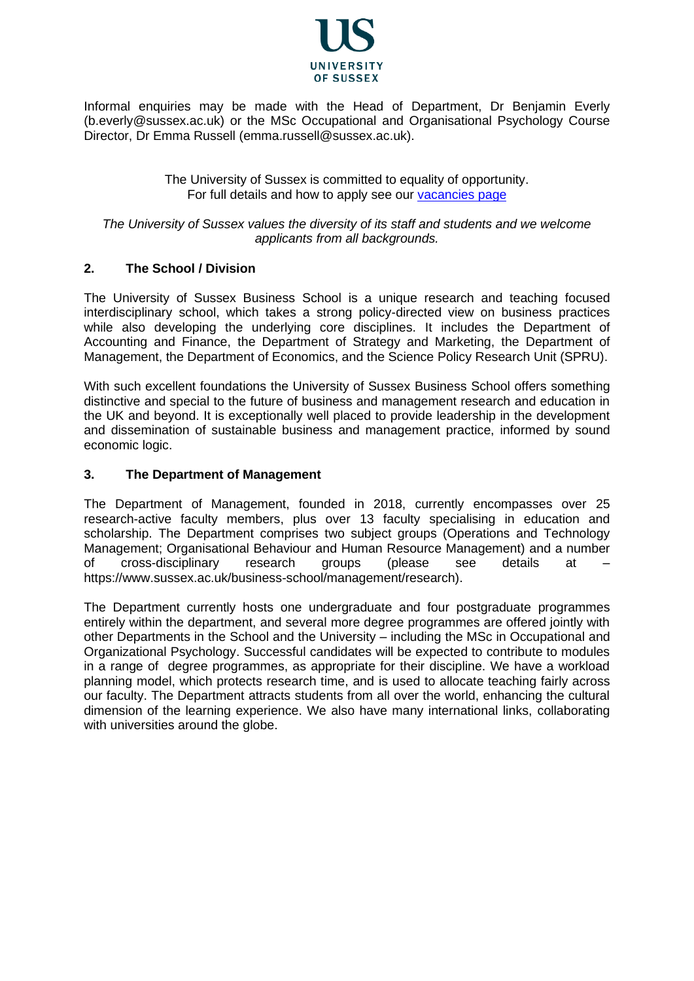

Informal enquiries may be made with the Head of Department, Dr Benjamin Everly (b.everly@sussex.ac.uk) or the MSc Occupational and Organisational Psychology Course Director, Dr Emma Russell (emma.russell@sussex.ac.uk).

> The University of Sussex is committed to equality of opportunity. For full details and how to apply see our [vacancies page](http://www.sussex.ac.uk/about/jobs)

*The University of Sussex values the diversity of its staff and students and we welcome applicants from all backgrounds.*

## **2. The School / Division**

The University of Sussex Business School is a unique research and teaching focused interdisciplinary school, which takes a strong policy-directed view on business practices while also developing the underlying core disciplines. It includes the Department of Accounting and Finance, the Department of Strategy and Marketing, the Department of Management, the Department of Economics, and the Science Policy Research Unit (SPRU).

With such excellent foundations the University of Sussex Business School offers something distinctive and special to the future of business and management research and education in the UK and beyond. It is exceptionally well placed to provide leadership in the development and dissemination of sustainable business and management practice, informed by sound economic logic.

#### **3. The Department of Management**

The Department of Management, founded in 2018, currently encompasses over 25 research-active faculty members, plus over 13 faculty specialising in education and scholarship. The Department comprises two subject groups (Operations and Technology Management; Organisational Behaviour and Human Resource Management) and a number of cross-disciplinary research groups (please see details at – https://www.sussex.ac.uk/business-school/management/research).

The Department currently hosts one undergraduate and four postgraduate programmes entirely within the department, and several more degree programmes are offered jointly with other Departments in the School and the University – including the MSc in Occupational and Organizational Psychology. Successful candidates will be expected to contribute to modules in a range of degree programmes, as appropriate for their discipline. We have a workload planning model, which protects research time, and is used to allocate teaching fairly across our faculty. The Department attracts students from all over the world, enhancing the cultural dimension of the learning experience. We also have many international links, collaborating with universities around the globe.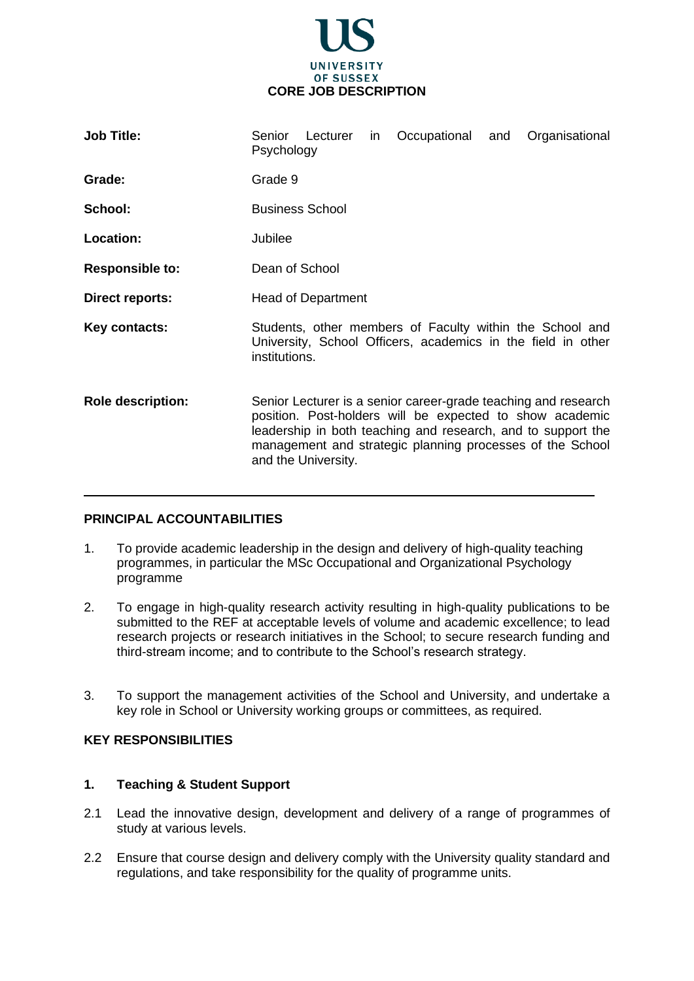

| <b>Job Title:</b>        | Senior<br>Psychology                                                                                                                                                                                                                                                           | Lecturer | in. | Occupational | and | Organisational |
|--------------------------|--------------------------------------------------------------------------------------------------------------------------------------------------------------------------------------------------------------------------------------------------------------------------------|----------|-----|--------------|-----|----------------|
| Grade:                   | Grade 9                                                                                                                                                                                                                                                                        |          |     |              |     |                |
| School:                  | <b>Business School</b>                                                                                                                                                                                                                                                         |          |     |              |     |                |
| Location:                | Jubilee                                                                                                                                                                                                                                                                        |          |     |              |     |                |
| <b>Responsible to:</b>   | Dean of School                                                                                                                                                                                                                                                                 |          |     |              |     |                |
| Direct reports:          | <b>Head of Department</b>                                                                                                                                                                                                                                                      |          |     |              |     |                |
| Key contacts:            | Students, other members of Faculty within the School and<br>University, School Officers, academics in the field in other<br>institutions.                                                                                                                                      |          |     |              |     |                |
| <b>Role description:</b> | Senior Lecturer is a senior career-grade teaching and research<br>position. Post-holders will be expected to show academic<br>leadership in both teaching and research, and to support the<br>management and strategic planning processes of the School<br>and the University. |          |     |              |     |                |

## **PRINCIPAL ACCOUNTABILITIES**

1. To provide academic leadership in the design and delivery of high-quality teaching programmes, in particular the MSc Occupational and Organizational Psychology programme

 $\overline{\phantom{a}}$ 

- 2. To engage in high-quality research activity resulting in high-quality publications to be submitted to the REF at acceptable levels of volume and academic excellence; to lead research projects or research initiatives in the School; to secure research funding and third-stream income; and to contribute to the School's research strategy.
- 3. To support the management activities of the School and University, and undertake a key role in School or University working groups or committees, as required.

# **KEY RESPONSIBILITIES**

# **1. Teaching & Student Support**

- 2.1 Lead the innovative design, development and delivery of a range of programmes of study at various levels.
- 2.2 Ensure that course design and delivery comply with the University quality standard and regulations, and take responsibility for the quality of programme units.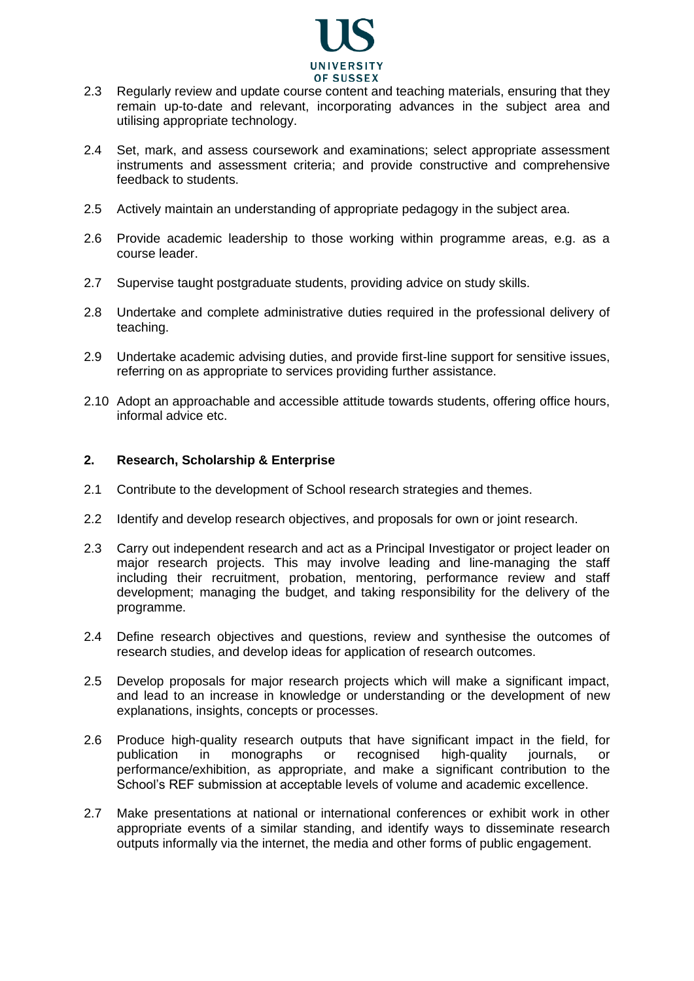

- 2.3 Regularly review and update course content and teaching materials, ensuring that they remain up-to-date and relevant, incorporating advances in the subject area and utilising appropriate technology.
- 2.4 Set, mark, and assess coursework and examinations; select appropriate assessment instruments and assessment criteria; and provide constructive and comprehensive feedback to students.
- 2.5 Actively maintain an understanding of appropriate pedagogy in the subject area.
- 2.6 Provide academic leadership to those working within programme areas, e.g. as a course leader.
- 2.7 Supervise taught postgraduate students, providing advice on study skills.
- 2.8 Undertake and complete administrative duties required in the professional delivery of teaching.
- 2.9 Undertake academic advising duties, and provide first-line support for sensitive issues, referring on as appropriate to services providing further assistance.
- 2.10 Adopt an approachable and accessible attitude towards students, offering office hours, informal advice etc.

## **2. Research, Scholarship & Enterprise**

- 2.1 Contribute to the development of School research strategies and themes.
- 2.2 Identify and develop research objectives, and proposals for own or joint research.
- 2.3 Carry out independent research and act as a Principal Investigator or project leader on major research projects. This may involve leading and line-managing the staff including their recruitment, probation, mentoring, performance review and staff development; managing the budget, and taking responsibility for the delivery of the programme.
- 2.4 Define research objectives and questions, review and synthesise the outcomes of research studies, and develop ideas for application of research outcomes.
- 2.5 Develop proposals for major research projects which will make a significant impact, and lead to an increase in knowledge or understanding or the development of new explanations, insights, concepts or processes.
- 2.6 Produce high-quality research outputs that have significant impact in the field, for publication in monographs or recognised high-quality journals, or performance/exhibition, as appropriate, and make a significant contribution to the School's REF submission at acceptable levels of volume and academic excellence.
- 2.7 Make presentations at national or international conferences or exhibit work in other appropriate events of a similar standing, and identify ways to disseminate research outputs informally via the internet, the media and other forms of public engagement.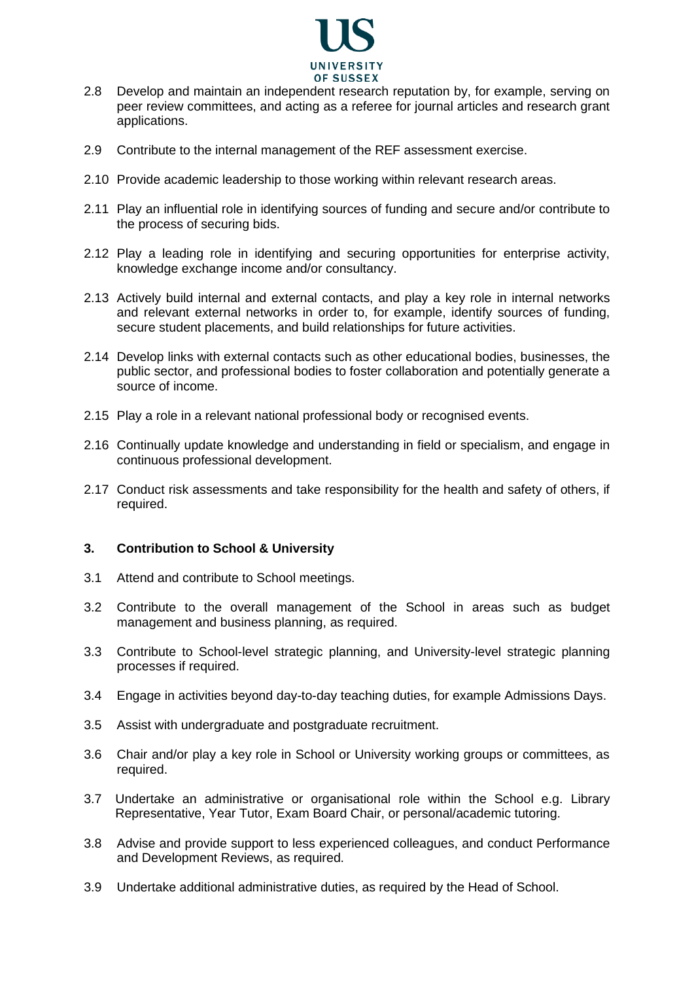

- 2.8 Develop and maintain an independent research reputation by, for example, serving on peer review committees, and acting as a referee for journal articles and research grant applications.
- 2.9 Contribute to the internal management of the REF assessment exercise.
- 2.10 Provide academic leadership to those working within relevant research areas.
- 2.11 Play an influential role in identifying sources of funding and secure and/or contribute to the process of securing bids.
- 2.12 Play a leading role in identifying and securing opportunities for enterprise activity, knowledge exchange income and/or consultancy.
- 2.13 Actively build internal and external contacts, and play a key role in internal networks and relevant external networks in order to, for example, identify sources of funding, secure student placements, and build relationships for future activities.
- 2.14 Develop links with external contacts such as other educational bodies, businesses, the public sector, and professional bodies to foster collaboration and potentially generate a source of income.
- 2.15 Play a role in a relevant national professional body or recognised events.
- 2.16 Continually update knowledge and understanding in field or specialism, and engage in continuous professional development.
- 2.17 Conduct risk assessments and take responsibility for the health and safety of others, if required.

## **3. Contribution to School & University**

- 3.1 Attend and contribute to School meetings.
- 3.2 Contribute to the overall management of the School in areas such as budget management and business planning, as required.
- 3.3 Contribute to School-level strategic planning, and University-level strategic planning processes if required.
- 3.4 Engage in activities beyond day-to-day teaching duties, for example Admissions Days.
- 3.5 Assist with undergraduate and postgraduate recruitment.
- 3.6 Chair and/or play a key role in School or University working groups or committees, as required.
- 3.7 Undertake an administrative or organisational role within the School e.g. Library Representative, Year Tutor, Exam Board Chair, or personal/academic tutoring.
- 3.8 Advise and provide support to less experienced colleagues, and conduct Performance and Development Reviews, as required.
- 3.9 Undertake additional administrative duties, as required by the Head of School.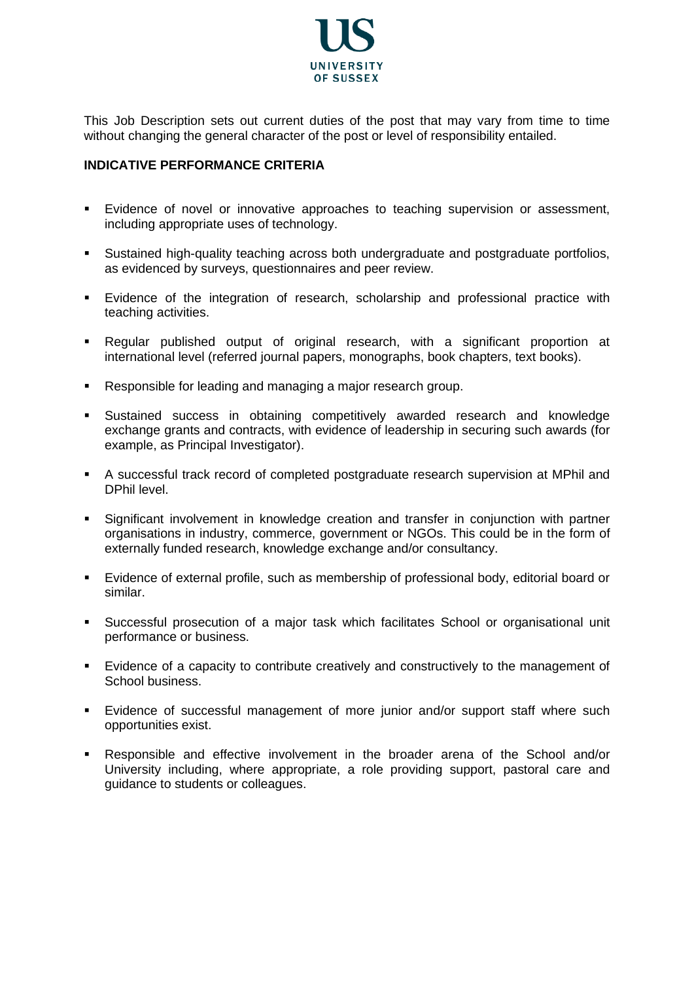

This Job Description sets out current duties of the post that may vary from time to time without changing the general character of the post or level of responsibility entailed.

## **INDICATIVE PERFORMANCE CRITERIA**

- Evidence of novel or innovative approaches to teaching supervision or assessment, including appropriate uses of technology.
- Sustained high-quality teaching across both undergraduate and postgraduate portfolios, as evidenced by surveys, questionnaires and peer review.
- Evidence of the integration of research, scholarship and professional practice with teaching activities.
- Regular published output of original research, with a significant proportion at international level (referred journal papers, monographs, book chapters, text books).
- Responsible for leading and managing a major research group.
- Sustained success in obtaining competitively awarded research and knowledge exchange grants and contracts, with evidence of leadership in securing such awards (for example, as Principal Investigator).
- A successful track record of completed postgraduate research supervision at MPhil and DPhil level.
- Significant involvement in knowledge creation and transfer in conjunction with partner organisations in industry, commerce, government or NGOs. This could be in the form of externally funded research, knowledge exchange and/or consultancy.
- Evidence of external profile, such as membership of professional body, editorial board or similar.
- Successful prosecution of a major task which facilitates School or organisational unit performance or business.
- Evidence of a capacity to contribute creatively and constructively to the management of School business.
- Evidence of successful management of more junior and/or support staff where such opportunities exist.
- Responsible and effective involvement in the broader arena of the School and/or University including, where appropriate, a role providing support, pastoral care and guidance to students or colleagues.